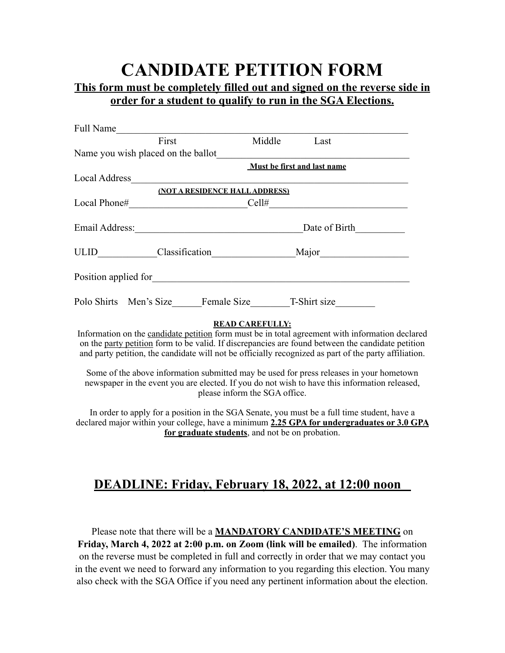# **CANDIDATE PETITION FORM**

#### **This form must be completely filled out and signed on the reverse side in order for a student to qualify to run in the SGA Elections.**

| Full Name |                                                         |                                                                                                                                                                                                                                                                                                                                                                                                                                                                                                           |
|-----------|---------------------------------------------------------|-----------------------------------------------------------------------------------------------------------------------------------------------------------------------------------------------------------------------------------------------------------------------------------------------------------------------------------------------------------------------------------------------------------------------------------------------------------------------------------------------------------|
| First     |                                                         | Middle Last                                                                                                                                                                                                                                                                                                                                                                                                                                                                                               |
|           |                                                         |                                                                                                                                                                                                                                                                                                                                                                                                                                                                                                           |
|           |                                                         | Must be first and last name                                                                                                                                                                                                                                                                                                                                                                                                                                                                               |
|           |                                                         |                                                                                                                                                                                                                                                                                                                                                                                                                                                                                                           |
|           | (NOT A RESIDENCE HALL ADDRESS)                          |                                                                                                                                                                                                                                                                                                                                                                                                                                                                                                           |
|           |                                                         | $Local Phone# \_\_Cell# \_\_Cell$                                                                                                                                                                                                                                                                                                                                                                                                                                                                         |
|           |                                                         | Date of Birth                                                                                                                                                                                                                                                                                                                                                                                                                                                                                             |
|           |                                                         |                                                                                                                                                                                                                                                                                                                                                                                                                                                                                                           |
|           |                                                         |                                                                                                                                                                                                                                                                                                                                                                                                                                                                                                           |
|           |                                                         | Polo Shirts Men's Size Female Size T-Shirt size                                                                                                                                                                                                                                                                                                                                                                                                                                                           |
|           | <b>READ CAREFULLY:</b><br>please inform the SGA office. | Information on the candidate petition form must be in total agreement with information declared<br>on the party petition form to be valid. If discrepancies are found between the candidate petition<br>and party petition, the candidate will not be officially recognized as part of the party affiliation.<br>Some of the above information submitted may be used for press releases in your hometown<br>newspaper in the event you are elected. If you do not wish to have this information released, |

In order to apply for a position in the SGA Senate, you must be a full time student, have a declared major within your college, have a minimum **2.25 GPA for undergraduates or 3.0 GPA for graduate students**, and not be on probation.

## **DEADLINE: Friday, February 18, 2022, at 12:00 noon**

Please note that there will be a **MANDATORY CANDIDATE'S MEETING** on **Friday, March 4, 2022 at 2:00 p.m. on Zoom (link will be emailed)**. The information on the reverse must be completed in full and correctly in order that we may contact you in the event we need to forward any information to you regarding this election. You many also check with the SGA Office if you need any pertinent information about the election.